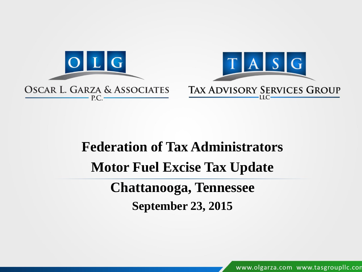

### **Federation of Tax Administrators Motor Fuel Excise Tax Update Chattanooga, Tennessee**

**September 23, 2015**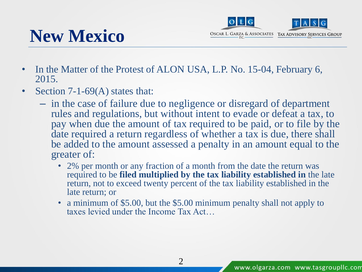



- In the Matter of the Protest of ALON USA, L.P. No. 15-04, February 6, 2015.
- Section 7-1-69(A) states that:
	- in the case of failure due to negligence or disregard of department rules and regulations, but without intent to evade or defeat a tax, to pay when due the amount of tax required to be paid, or to file by the date required a return regardless of whether a tax is due, there shall be added to the amount assessed a penalty in an amount equal to the greater of:
		- 2% per month or any fraction of a month from the date the return was required to be **filed multiplied by the tax liability established in** the late return, not to exceed twenty percent of the tax liability established in the late return; or
		- a minimum of \$5.00, but the \$5.00 minimum penalty shall not apply to taxes levied under the Income Tax Act…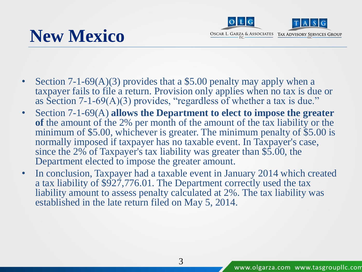# **New Mexico**



- Section 7-1-69(A)(3) provides that a \$5.00 penalty may apply when a taxpayer fails to file a return. Provision only applies when no tax is due or as Section 7-1-69(A)(3) provides, "regardless of whether a tax is due."
- Section 7-1-69(A) **allows the Department to elect to impose the greater of** the amount of the 2% per month of the amount of the tax liability or the minimum of \$5.00, whichever is greater. The minimum penalty of \$5.00 is normally imposed if taxpayer has no taxable event. In Taxpayer's case, since the 2% of Taxpayer's tax liability was greater than \$5.00, the Department elected to impose the greater amount.
- In conclusion, Taxpayer had a taxable event in January 2014 which created a tax liability of \$927,776.01. The Department correctly used the tax liability amount to assess penalty calculated at 2%. The tax liability was established in the late return filed on May 5, 2014.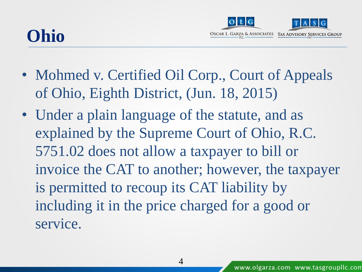### **Ohio**



- Mohmed v. Certified Oil Corp., Court of Appeals of Ohio, Eighth District, (Jun. 18, 2015)
- Under a plain language of the statute, and as explained by the Supreme Court of Ohio, R.C. 5751.02 does not allow a taxpayer to bill or invoice the CAT to another; however, the taxpayer is permitted to recoup its CAT liability by including it in the price charged for a good or service.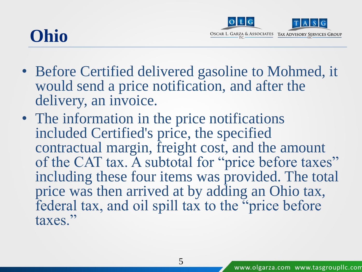### **Ohio**



- Before Certified delivered gasoline to Mohmed, it would send a price notification, and after the delivery, an invoice.
- The information in the price notifications included Certified's price, the specified contractual margin, freight cost, and the amount of the CAT tax. A subtotal for "price before taxes" including these four items was provided. The total price was then arrived at by adding an Ohio tax, federal tax, and oil spill tax to the "price before taxes."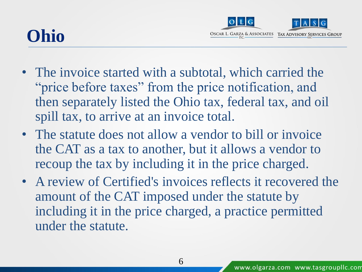### **Ohio**



- The invoice started with a subtotal, which carried the "price before taxes" from the price notification, and then separately listed the Ohio tax, federal tax, and oil spill tax, to arrive at an invoice total.
- The statute does not allow a vendor to bill or invoice the CAT as a tax to another, but it allows a vendor to recoup the tax by including it in the price charged.
- A review of Certified's invoices reflects it recovered the amount of the CAT imposed under the statute by including it in the price charged, a practice permitted under the statute.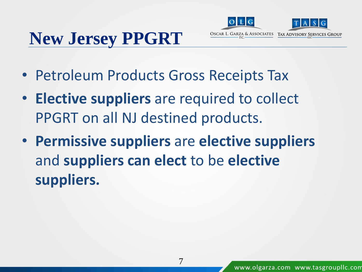# **New Jersey PPGRT**



- Petroleum Products Gross Receipts Tax
- **Elective suppliers** are required to collect PPGRT on all NJ destined products.
- **Permissive suppliers** are **elective suppliers**  and **suppliers can elect** to be **elective suppliers.**

7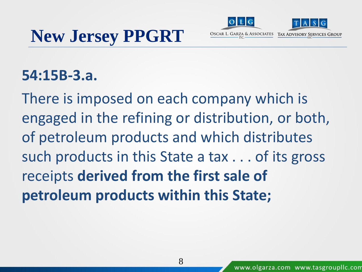



### **54:15B-3.a.**

There is imposed on each company which is engaged in the refining or distribution, or both, of petroleum products and which distributes such products in this State a tax . . . of its gross receipts **derived from the first sale of petroleum products within this State;**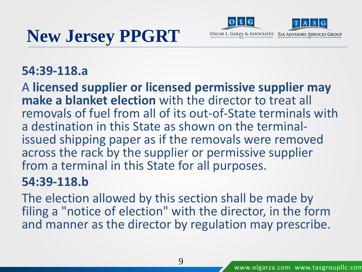# **New Jersey PPGRT**





### **54:39-118.a**

A **licensed supplier or licensed permissive supplier may make a blanket election** with the director to treat all removals of fuel from all of its out-of-State terminals with a destination in this State as shown on the terminalissued shipping paper as if the removals were removed across the rack by the supplier or permissive supplier from a terminal in this State for all purposes.

### **54:39-118.b**

The election allowed by this section shall be made by filing a "notice of election" with the director, in the form and manner as the director by regulation may prescribe.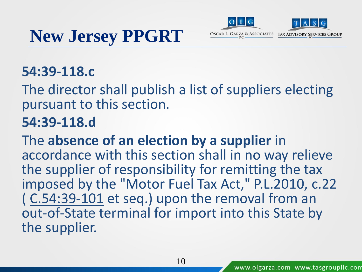





### **54:39-118.c**

The director shall publish a list of suppliers electing pursuant to this section.

### **54:39-118.d**

The **absence of an election by a supplier** in accordance with this section shall in no way relieve the supplier of responsibility for remitting the tax imposed by the "Motor Fuel Tax Act," P.L.2010, c.22 ( C.54:39-101 et seq.) upon the removal from an out-of-State terminal for import into this State by the supplier.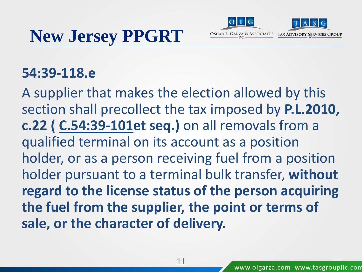



### **54:39-118.e**

A supplier that makes the election allowed by this section shall precollect the tax imposed by **P.L.2010, c.22 ( C.54:39-101et seq.)** on all removals from a qualified terminal on its account as a position holder, or as a person receiving fuel from a position holder pursuant to a terminal bulk transfer, **without regard to the license status of the person acquiring the fuel from the supplier, the point or terms of sale, or the character of delivery.**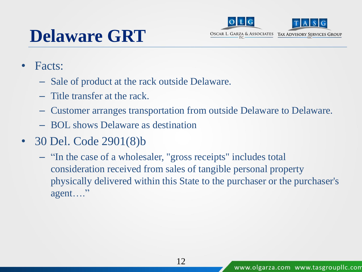## **Delaware GRT**



- Facts:
	- Sale of product at the rack outside Delaware.
	- Title transfer at the rack.
	- Customer arranges transportation from outside Delaware to Delaware.
	- BOL shows Delaware as destination
- 30 Del. Code 2901(8)b
	- "In the case of a wholesaler, "gross receipts" includes total consideration received from sales of tangible personal property physically delivered within this State to the purchaser or the purchaser's agent…."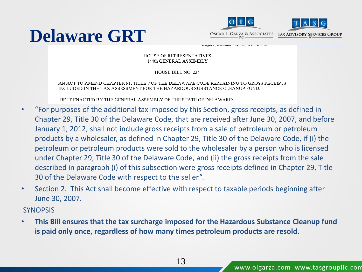



wagner, Kowaiko, wans, Sen. Auams

#### **HOUSE OF REPRESENTATIVES** 144th GENERAL ASSEMBLY

HOUSE BILL NO. 234

AN ACT TO AMEND CHAPTER 91, TITLE 7 OF THE DELAWARE CODE PERTAINING TO GROSS RECEIPTS INCLUDED IN THE TAX ASSESSMENT FOR THE HAZARDOUS SUBSTANCE CLEANUP FUND.

BE IT ENACTED BY THE GENERAL ASSEMBLY OF THE STATE OF DELAWARE:

- "For purposes of the additional tax imposed by this Section, gross receipts, as defined in Chapter 29, Title 30 of the Delaware Code, that are received after June 30, 2007, and before January 1, 2012, shall not include gross receipts from a sale of petroleum or petroleum products by a wholesaler, as defined in Chapter 29, Title 30 of the Delaware Code, if (i) the petroleum or petroleum products were sold to the wholesaler by a person who is licensed under Chapter 29, Title 30 of the Delaware Code, and (ii) the gross receipts from the sale described in paragraph (i) of this subsection were gross receipts defined in Chapter 29, Title 30 of the Delaware Code with respect to the seller.".
- Section 2. This Act shall become effective with respect to taxable periods beginning after June 30, 2007.

**SYNOPSIS** 

• **This Bill ensures that the tax surcharge imposed for the Hazardous Substance Cleanup fund is paid only once, regardless of how many times petroleum products are resold.**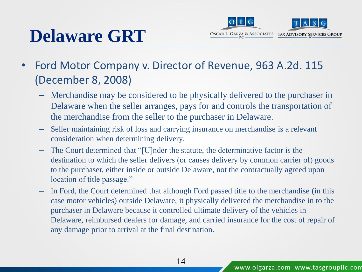# **Delaware GRT**



- Ford Motor Company v. Director of Revenue, 963 A.2d. 115 (December 8, 2008)
	- Merchandise may be considered to be physically delivered to the purchaser in Delaware when the seller arranges, pays for and controls the transportation of the merchandise from the seller to the purchaser in Delaware.
	- Seller maintaining risk of loss and carrying insurance on merchandise is a relevant consideration when determining delivery.
	- The Court determined that "[U]nder the statute, the determinative factor is the destination to which the seller delivers (or causes delivery by common carrier of) goods to the purchaser, either inside or outside Delaware, not the contractually agreed upon location of title passage."
	- In Ford, the Court determined that although Ford passed title to the merchandise (in this case motor vehicles) outside Delaware, it physically delivered the merchandise in to the purchaser in Delaware because it controlled ultimate delivery of the vehicles in Delaware, reimbursed dealers for damage, and carried insurance for the cost of repair of any damage prior to arrival at the final destination.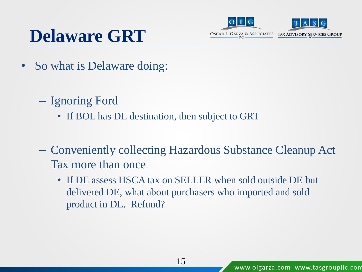### **Delaware GRT**



- So what is Delaware doing:
	- Ignoring Ford
		- If BOL has DE destination, then subject to GRT
	- Conveniently collecting Hazardous Substance Cleanup Act Tax more than once.
		- If DE assess HSCA tax on SELLER when sold outside DE but delivered DE, what about purchasers who imported and sold product in DE. Refund?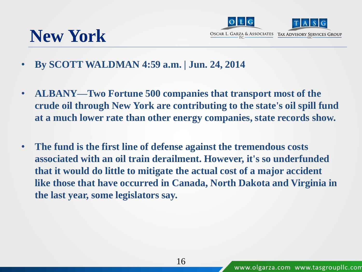



- **By SCOTT WALDMAN 4:59 a.m. | Jun. 24, 2014**
- **ALBANY—Two Fortune 500 companies that transport most of the crude oil through New York are contributing to the state's oil spill fund at a much lower rate than other energy companies, state records show.**
- **The fund is the first line of defense against the tremendous costs associated with an oil train derailment. However, it's so underfunded that it would do little to mitigate the actual cost of a major accident like those that have occurred in Canada, North Dakota and Virginia in the last year, some legislators say.**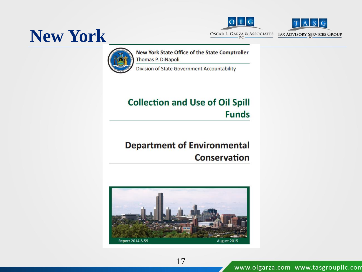



**New York**



New York State Office of the State Comptroller Thomas P. DiNapoli

Division of State Government Accountability

#### **Collection and Use of Oil Spill Funds**

#### **Department of Environmental Conservation**



17

www.olgarza.com www.tasgroupllc.com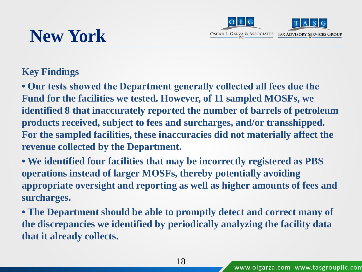



### **New York**

#### **Key Findings**

**• Our tests showed the Department generally collected all fees due the Fund for the facilities we tested. However, of 11 sampled MOSFs, we identified 8 that inaccurately reported the number of barrels of petroleum products received, subject to fees and surcharges, and/or transshipped. For the sampled facilities, these inaccuracies did not materially affect the revenue collected by the Department.** 

**• We identified four facilities that may be incorrectly registered as PBS operations instead of larger MOSFs, thereby potentially avoiding appropriate oversight and reporting as well as higher amounts of fees and surcharges.** 

**• The Department should be able to promptly detect and correct many of the discrepancies we identified by periodically analyzing the facility data that it already collects.**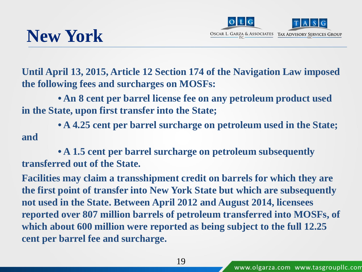

### **New York**

**Until April 13, 2015, Article 12 Section 174 of the Navigation Law imposed the following fees and surcharges on MOSFs:**

**• An 8 cent per barrel license fee on any petroleum product used in the State, upon first transfer into the State;**

**• A 4.25 cent per barrel surcharge on petroleum used in the State; and**

**• A 1.5 cent per barrel surcharge on petroleum subsequently transferred out of the State.**

**Facilities may claim a transshipment credit on barrels for which they are the first point of transfer into New York State but which are subsequently not used in the State. Between April 2012 and August 2014, licensees reported over 807 million barrels of petroleum transferred into MOSFs, of which about 600 million were reported as being subject to the full 12.25 cent per barrel fee and surcharge.**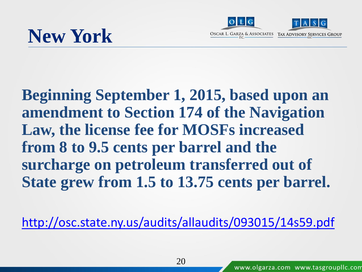



**Beginning September 1, 2015, based upon an amendment to Section 174 of the Navigation Law, the license fee for MOSFs increased from 8 to 9.5 cents per barrel and the surcharge on petroleum transferred out of State grew from 1.5 to 13.75 cents per barrel.** 

<http://osc.state.ny.us/audits/allaudits/093015/14s59.pdf>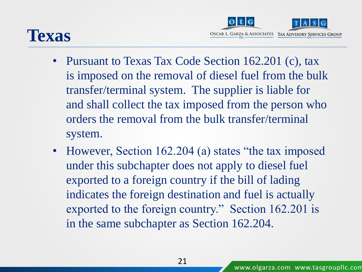



- Pursuant to Texas Tax Code Section 162.201 (c), tax is imposed on the removal of diesel fuel from the bulk transfer/terminal system. The supplier is liable for and shall collect the tax imposed from the person who orders the removal from the bulk transfer/terminal system.
- However, Section 162.204 (a) states "the tax imposed under this subchapter does not apply to diesel fuel exported to a foreign country if the bill of lading indicates the foreign destination and fuel is actually exported to the foreign country." Section 162.201 is in the same subchapter as Section 162.204.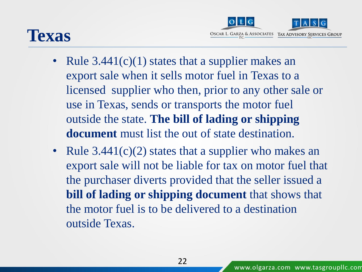### **Texas**



- Rule  $3.441(c)(1)$  states that a supplier makes an export sale when it sells motor fuel in Texas to a licensed supplier who then, prior to any other sale or use in Texas, sends or transports the motor fuel outside the state. **The bill of lading or shipping document** must list the out of state destination.
- Rule 3.441(c)(2) states that a supplier who makes an export sale will not be liable for tax on motor fuel that the purchaser diverts provided that the seller issued a **bill of lading or shipping document** that shows that the motor fuel is to be delivered to a destination outside Texas.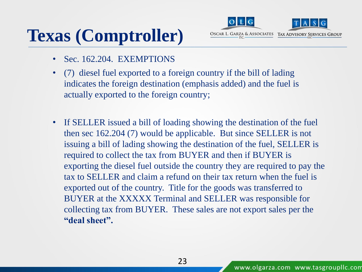# **Texas (Comptroller)**



- Sec. 162.204. EXEMPTIONS
- (7) diesel fuel exported to a foreign country if the bill of lading indicates the foreign destination (emphasis added) and the fuel is actually exported to the foreign country;
- If SELLER issued a bill of loading showing the destination of the fuel then sec 162.204 (7) would be applicable. But since SELLER is not issuing a bill of lading showing the destination of the fuel, SELLER is required to collect the tax from BUYER and then if BUYER is exporting the diesel fuel outside the country they are required to pay the tax to SELLER and claim a refund on their tax return when the fuel is exported out of the country. Title for the goods was transferred to BUYER at the XXXXX Terminal and SELLER was responsible for collecting tax from BUYER. These sales are not export sales per the **"deal sheet".**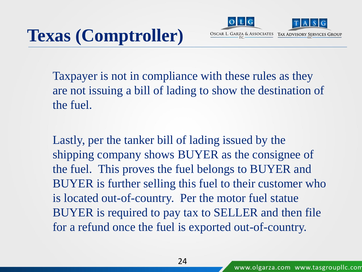

Taxpayer is not in compliance with these rules as they are not issuing a bill of lading to show the destination of the fuel.

Lastly, per the tanker bill of lading issued by the shipping company shows BUYER as the consignee of the fuel. This proves the fuel belongs to BUYER and BUYER is further selling this fuel to their customer who is located out-of-country. Per the motor fuel statue BUYER is required to pay tax to SELLER and then file for a refund once the fuel is exported out-of-country.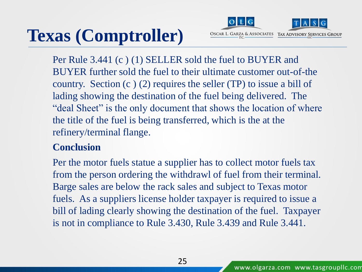# **Texas (Comptroller)**



Per Rule 3.441 (c ) (1) SELLER sold the fuel to BUYER and BUYER further sold the fuel to their ultimate customer out-of-the country. Section  $(c)$  (2) requires the seller (TP) to issue a bill of lading showing the destination of the fuel being delivered. The "deal Sheet" is the only document that shows the location of where the title of the fuel is being transferred, which is the at the refinery/terminal flange.

#### **Conclusion**

Per the motor fuels statue a supplier has to collect motor fuels tax from the person ordering the withdrawl of fuel from their terminal. Barge sales are below the rack sales and subject to Texas motor fuels. As a suppliers license holder taxpayer is required to issue a bill of lading clearly showing the destination of the fuel. Taxpayer is not in compliance to Rule 3.430, Rule 3.439 and Rule 3.441.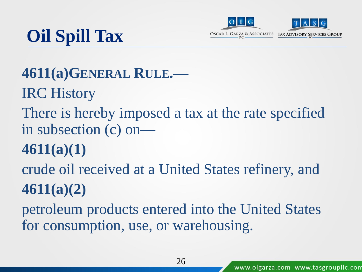



# **Oil Spill Tax**

### **4611(a)GENERAL RULE.—**

IRC History

There is hereby imposed a tax at the rate specified in subsection (c) on—

### **4611(a)(1)**

crude oil received at a United States refinery, and **4611(a)(2)**

petroleum products entered into the United States for consumption, use, or warehousing.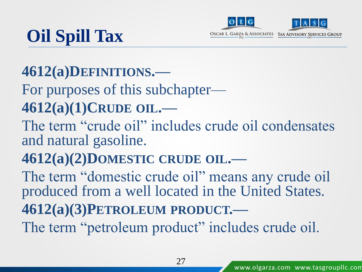



# **Oil Spill Tax**

### **4612(a)DEFINITIONS.—**

For purposes of this subchapter— **4612(a)(1)CRUDE OIL.—**

The term "crude oil" includes crude oil condensates and natural gasoline.

### **4612(a)(2)DOMESTIC CRUDE OIL.—**

The term "domestic crude oil" means any crude oil produced from a well located in the United States. **4612(a)(3)PETROLEUM PRODUCT.—** The term "petroleum product" includes crude oil.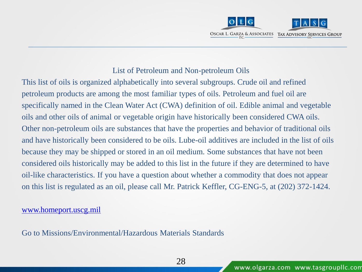

#### List of Petroleum and Non-petroleum Oils

This list of oils is organized alphabetically into several subgroups. Crude oil and refined petroleum products are among the most familiar types of oils. Petroleum and fuel oil are specifically named in the Clean Water Act (CWA) definition of oil. Edible animal and vegetable oils and other oils of animal or vegetable origin have historically been considered CWA oils. Other non-petroleum oils are substances that have the properties and behavior of traditional oils and have historically been considered to be oils. Lube-oil additives are included in the list of oils because they may be shipped or stored in an oil medium. Some substances that have not been considered oils historically may be added to this list in the future if they are determined to have oil-like characteristics. If you have a question about whether a commodity that does not appear on this list is regulated as an oil, please call Mr. Patrick Keffler, CG-ENG-5, at (202) 372-1424.

[www.homeport.uscg.mil](http://www.homeport.uscg.mil/)

Go to Missions/Environmental/Hazardous Materials Standards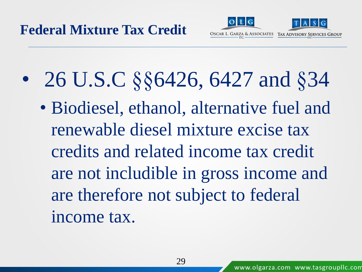

• 26 U.S.C §§6426, 6427 and §34 • Biodiesel, ethanol, alternative fuel and renewable diesel mixture excise tax credits and related income tax credit are not includible in gross income and are therefore not subject to federal income tax.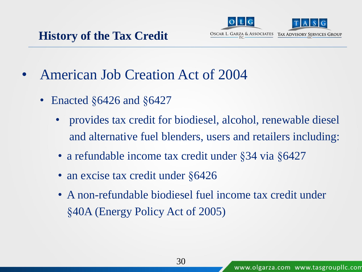

- American Job Creation Act of 2004
	- Enacted §6426 and §6427
		- provides tax credit for biodiesel, alcohol, renewable diesel and alternative fuel blenders, users and retailers including:
		- a refundable income tax credit under §34 via §6427
		- an excise tax credit under §6426
		- A non-refundable biodiesel fuel income tax credit under §40A (Energy Policy Act of 2005)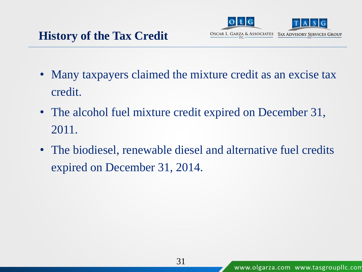

- Many taxpayers claimed the mixture credit as an excise tax credit.
- The alcohol fuel mixture credit expired on December 31, 2011.
- The biodiesel, renewable diesel and alternative fuel credits expired on December 31, 2014.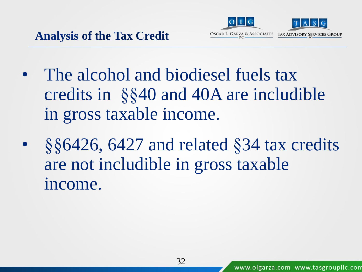

- The alcohol and biodiesel fuels tax credits in §§40 and 40A are includible in gross taxable income.
- §§6426, 6427 and related §34 tax credits are not includible in gross taxable income.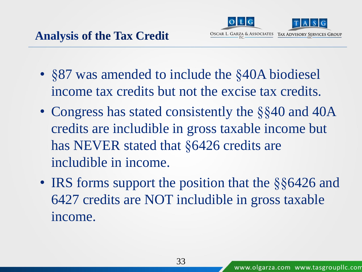

- §87 was amended to include the §40A biodiesel income tax credits but not the excise tax credits.
- Congress has stated consistently the §§40 and 40A credits are includible in gross taxable income but has NEVER stated that §6426 credits are includible in income.
- IRS forms support the position that the §§6426 and 6427 credits are NOT includible in gross taxable income.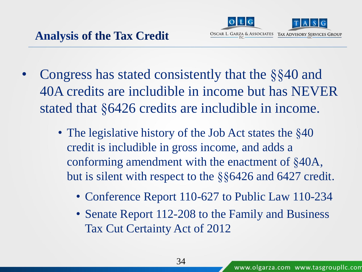

- Congress has stated consistently that the §§40 and 40A credits are includible in income but has NEVER stated that §6426 credits are includible in income.
	- The legislative history of the Job Act states the §40 credit is includible in gross income, and adds a conforming amendment with the enactment of §40A, but is silent with respect to the §§6426 and 6427 credit.
		- Conference Report 110-627 to Public Law 110-234
		- Senate Report 112-208 to the Family and Business Tax Cut Certainty Act of 2012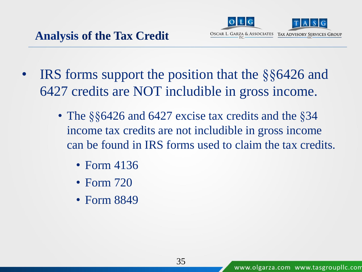

- IRS forms support the position that the §§6426 and 6427 credits are NOT includible in gross income.
	- The §§6426 and 6427 excise tax credits and the §34 income tax credits are not includible in gross income can be found in IRS forms used to claim the tax credits.
		- Form 4136
		- Form 720
		- Form 8849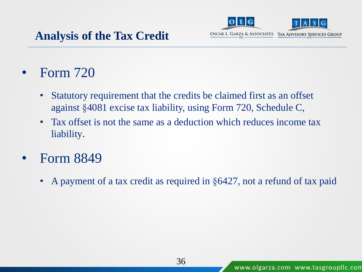

• Form 720

- Statutory requirement that the credits be claimed first as an offset against §4081 excise tax liability, using Form 720, Schedule C,
- Tax offset is not the same as a deduction which reduces income tax liability.
- Form 8849
	- A payment of a tax credit as required in §6427, not a refund of tax paid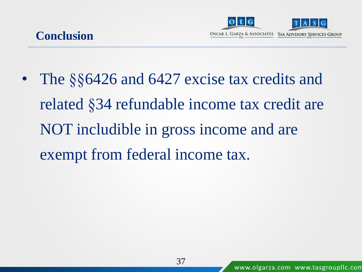



The §§6426 and 6427 excise tax credits and related §34 refundable income tax credit are NOT includible in gross income and are exempt from federal income tax.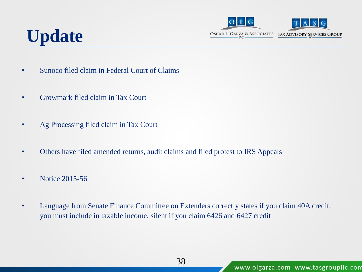

### **Update**

- Sunoco filed claim in Federal Court of Claims
- Growmark filed claim in Tax Court
- Ag Processing filed claim in Tax Court
- Others have filed amended returns, audit claims and filed protest to IRS Appeals
- Notice 2015-56
- Language from Senate Finance Committee on Extenders correctly states if you claim 40A credit, you must include in taxable income, silent if you claim 6426 and 6427 credit